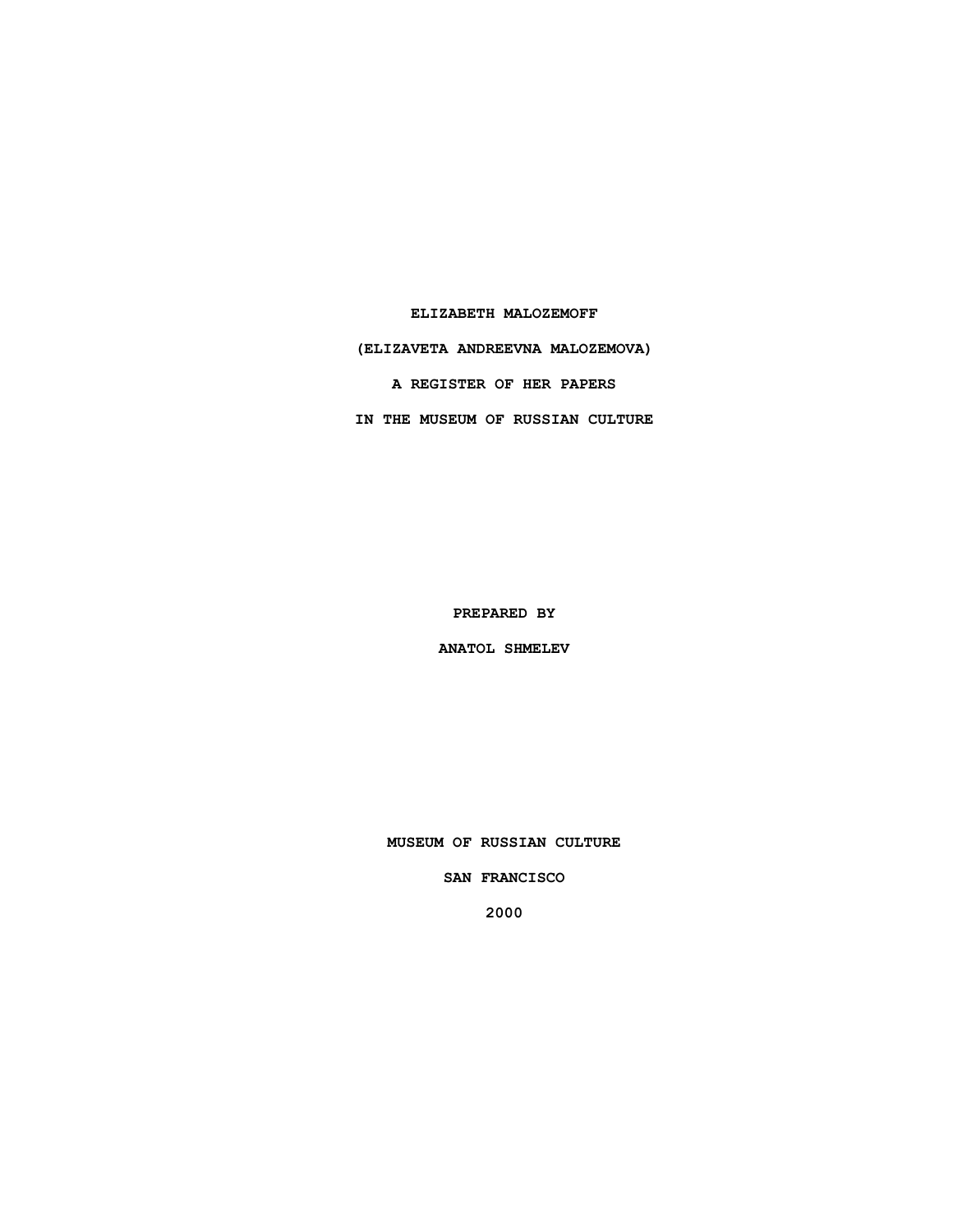**ELIZABETH MALOZEMOFF**

**(ELIZAVETA ANDREEVNA MALOZEMOVA)**

**A REGISTER OF HER PAPERS**

**IN THE MUSEUM OF RUSSIAN CULTURE**

**PREPARED BY**

**ANATOL SHMELEV**

**MUSEUM OF RUSSIAN CULTURE**

**SAN FRANCISCO**

**2000**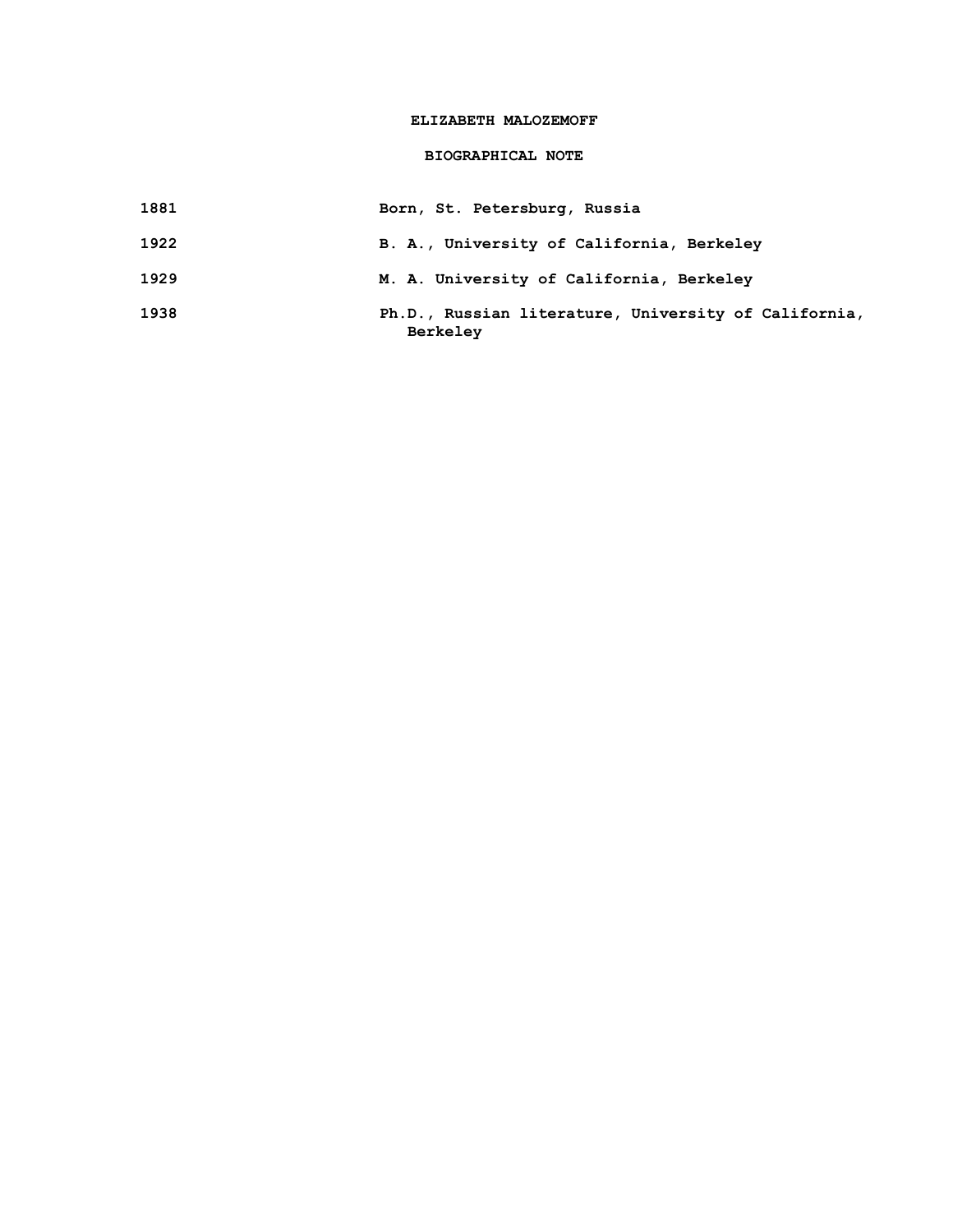### **ELIZABETH MALOZEMOFF**

## **BIOGRAPHICAL NOTE**

- **1881 Born, St. Petersburg, Russia**
- **1922 B. A., University of California, Berkeley**
- **1929 M. A. University of California, Berkeley**
- **1938 Ph.D., Russian literature, University of California, Berkeley**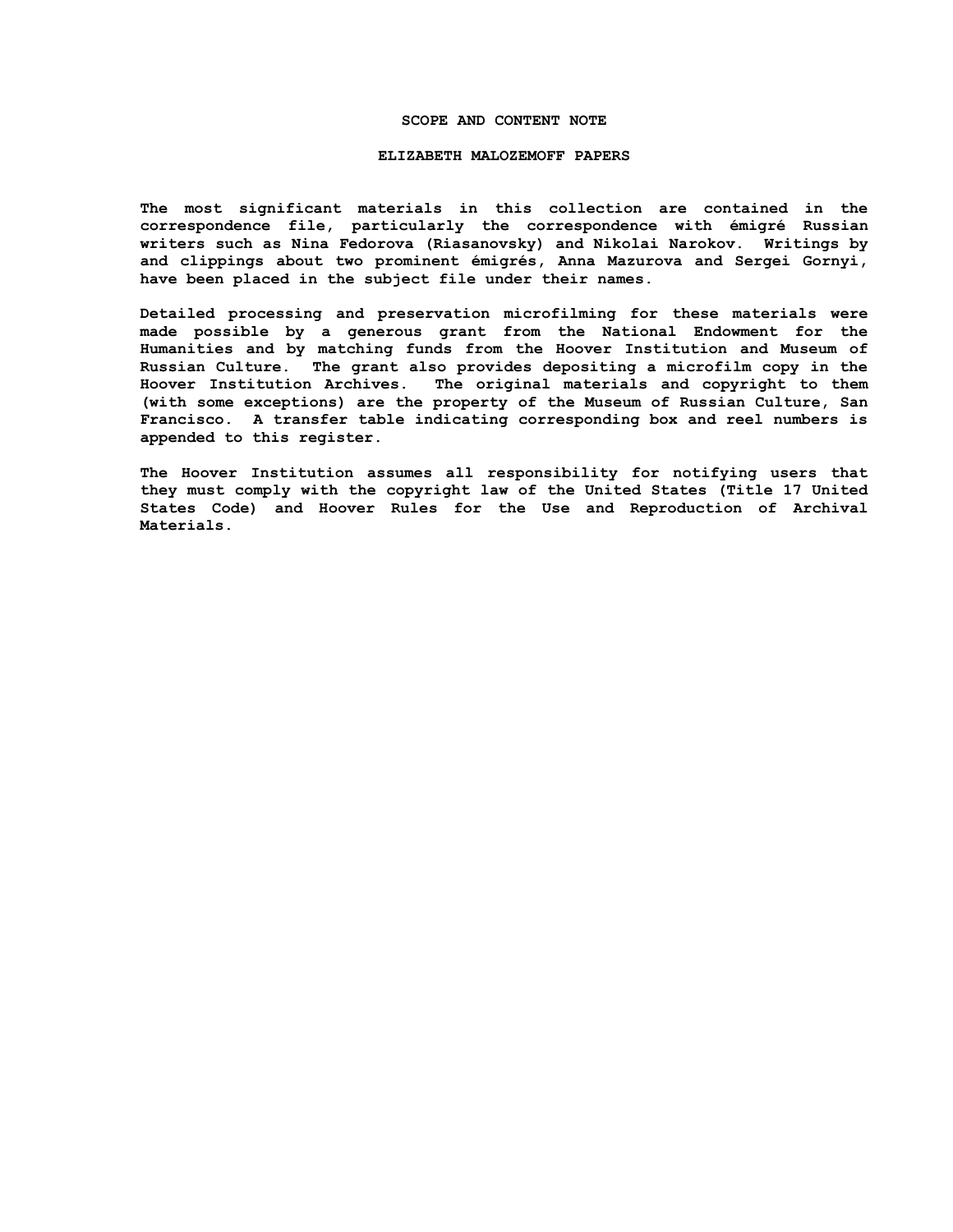#### **SCOPE AND CONTENT NOTE**

#### **ELIZABETH MALOZEMOFF PAPERS**

**The most significant materials in this collection are contained in the correspondence file, particularly the correspondence with émigré Russian writers such as Nina Fedorova (Riasanovsky) and Nikolai Narokov. Writings by and clippings about two prominent émigrés, Anna Mazurova and Sergei Gornyi, have been placed in the subject file under their names.** 

**Detailed processing and preservation microfilming for these materials were made possible by a generous grant from the National Endowment for the Humanities and by matching funds from the Hoover Institution and Museum of Russian Culture. The grant also provides depositing a microfilm copy in the Hoover Institution Archives. The original materials and copyright to them (with some exceptions) are the property of the Museum of Russian Culture, San Francisco. A transfer table indicating corresponding box and reel numbers is appended to this register.**

**The Hoover Institution assumes all responsibility for notifying users that they must comply with the copyright law of the United States (Title 17 United States Code) and Hoover Rules for the Use and Reproduction of Archival Materials.**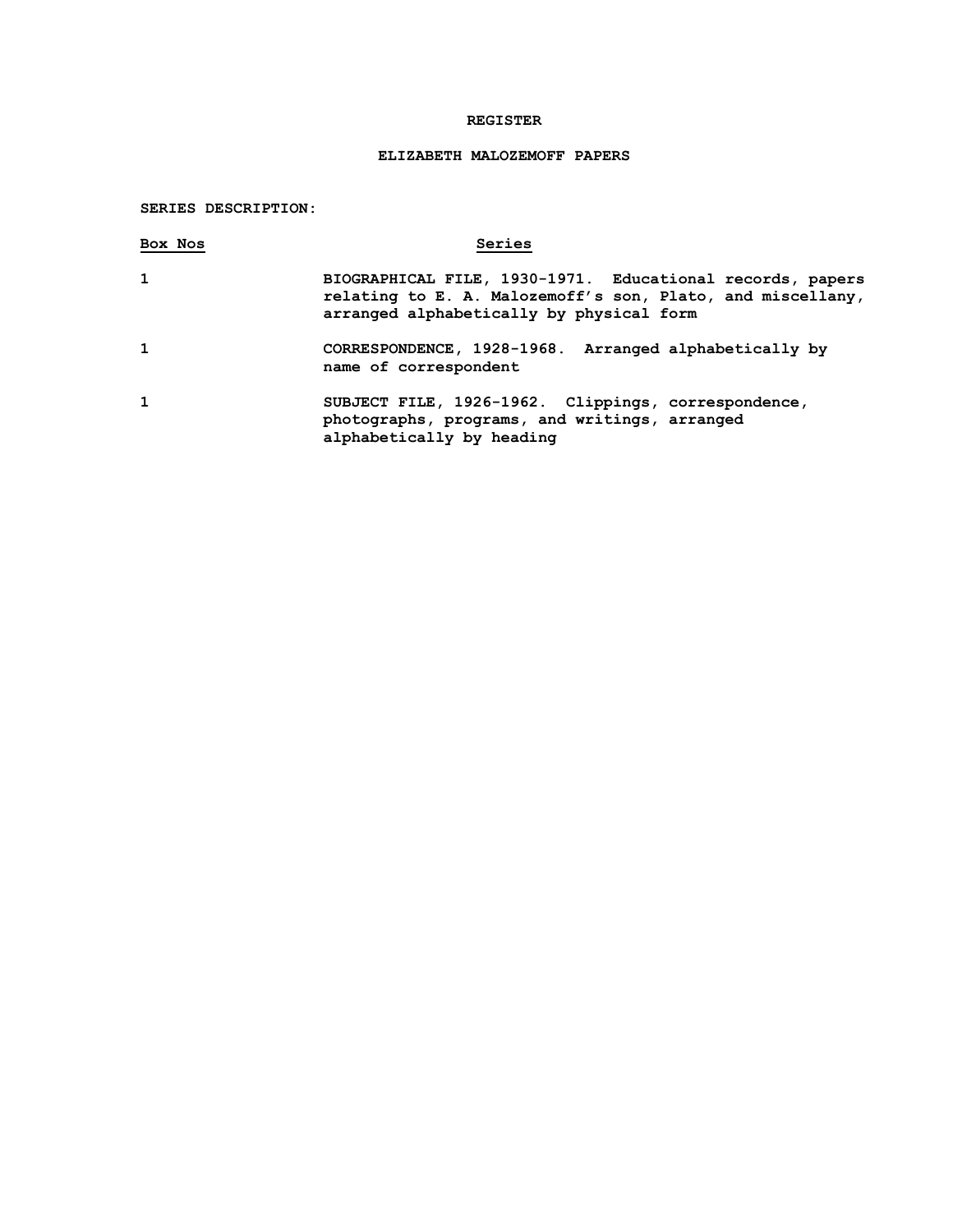### **REGISTER**

# **ELIZABETH MALOZEMOFF PAPERS**

## **SERIES DESCRIPTION:**

| Box Nos | Series                                                                                                                                                              |
|---------|---------------------------------------------------------------------------------------------------------------------------------------------------------------------|
| 1       | BIOGRAPHICAL FILE, 1930-1971. Educational records, papers<br>relating to E. A. Malozemoff's son, Plato, and miscellany,<br>arranged alphabetically by physical form |
| 1       | CORRESPONDENCE, 1928-1968. Arranged alphabetically by<br>name of correspondent                                                                                      |
| 1       | SUBJECT FILE, 1926-1962. Clippings, correspondence,<br>photographs, programs, and writings, arranged<br>alphabetically by heading                                   |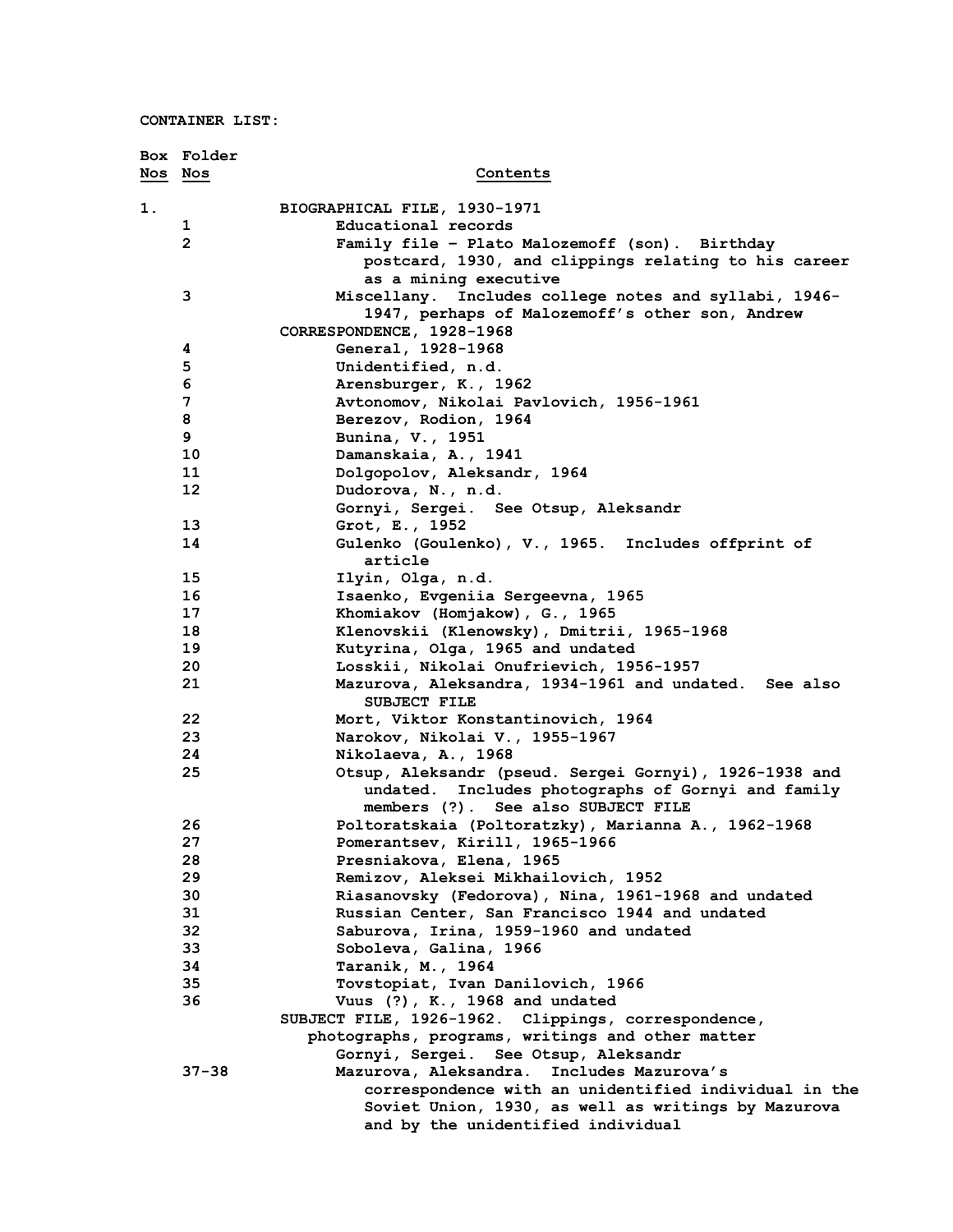|         | Box Folder     |                                                                                                                 |
|---------|----------------|-----------------------------------------------------------------------------------------------------------------|
| Nos Nos |                | Contents                                                                                                        |
| 1.      |                | BIOGRAPHICAL FILE, 1930-1971                                                                                    |
|         | 1              | Educational records                                                                                             |
|         | $\overline{2}$ | Family file - Plato Malozemoff (son). Birthday                                                                  |
|         |                | postcard, 1930, and clippings relating to his career                                                            |
|         |                | as a mining executive                                                                                           |
|         | 3              | Miscellany. Includes college notes and syllabi, 1946-<br>1947, perhaps of Malozemoff's other son, Andrew        |
|         |                | CORRESPONDENCE, 1928-1968                                                                                       |
|         | 4              | General, 1928-1968                                                                                              |
|         | 5              | Unidentified, n.d.                                                                                              |
|         | 6              | Arensburger, K., 1962                                                                                           |
|         | 7              | Avtonomov, Nikolai Pavlovich, 1956-1961                                                                         |
|         | 8              | Berezov, Rodion, 1964                                                                                           |
|         | 9              | Bunina, V., 1951                                                                                                |
|         | 10             | Damanskaia, A., 1941                                                                                            |
|         | 11             | Dolgopolov, Aleksandr, 1964                                                                                     |
|         | 12             | Dudorova, N., n.d.                                                                                              |
|         |                | Gornyi, Sergei. See Otsup, Aleksandr                                                                            |
|         | 13             | Grot, E., 1952                                                                                                  |
|         | 14             | Gulenko (Goulenko), V., 1965. Includes offprint of<br>article                                                   |
|         | 15             | Ilyin, Olga, n.d.                                                                                               |
|         | 16             | Isaenko, Evgeniia Sergeevna, 1965                                                                               |
|         | 17             | Khomiakov (Homjakow), G., 1965                                                                                  |
|         | 18             | Klenovskii (Klenowsky), Dmitrii, 1965-1968                                                                      |
|         | 19             | Kutyrina, Olga, 1965 and undated                                                                                |
|         | 20             | Losskii, Nikolai Onufrievich, 1956-1957                                                                         |
|         | 21             | Mazurova, Aleksandra, 1934-1961 and undated. See also<br><b>SUBJECT FILE</b>                                    |
|         | 22             | Mort, Viktor Konstantinovich, 1964                                                                              |
|         | 23             | Narokov, Nikolai V., 1955-1967                                                                                  |
|         | 24             | Nikolaeva, A., 1968                                                                                             |
|         | 25             | Otsup, Aleksandr (pseud. Sergei Gornyi), 1926-1938 and<br>Includes photographs of Gornyi and family<br>undated. |
|         |                | members (?). See also SUBJECT FILE                                                                              |
|         | 26             | Poltoratskaia (Poltoratzky), Marianna A., 1962-1968                                                             |
|         | 27             | Pomerantsev, Kirill, 1965-1966                                                                                  |
|         | 28             | Presniakova, Elena, 1965                                                                                        |
|         | 29             | Remizov, Aleksei Mikhailovich, 1952                                                                             |
|         | 30             | Riasanovsky (Fedorova), Nina, 1961-1968 and undated                                                             |
|         | 31             | Russian Center, San Francisco 1944 and undated                                                                  |
|         | 32             | Saburova, Irina, 1959-1960 and undated                                                                          |
|         | 33             | Soboleva, Galina, 1966                                                                                          |
|         | 34             | Taranik, M., 1964                                                                                               |
|         | 35             | Tovstopiat, Ivan Danilovich, 1966                                                                               |
|         | 36             | Vuus (?), K., 1968 and undated                                                                                  |
|         |                | SUBJECT FILE, 1926-1962. Clippings, correspondence,                                                             |
|         |                | photographs, programs, writings and other matter<br>Gornyi, Sergei. See Otsup, Aleksandr                        |
|         | $37 - 38$      | Mazurova, Aleksandra. Includes Mazurova's                                                                       |
|         |                | correspondence with an unidentified individual in the                                                           |
|         |                | Soviet Union, 1930, as well as writings by Mazurova                                                             |
|         |                | and by the unidentified individual                                                                              |